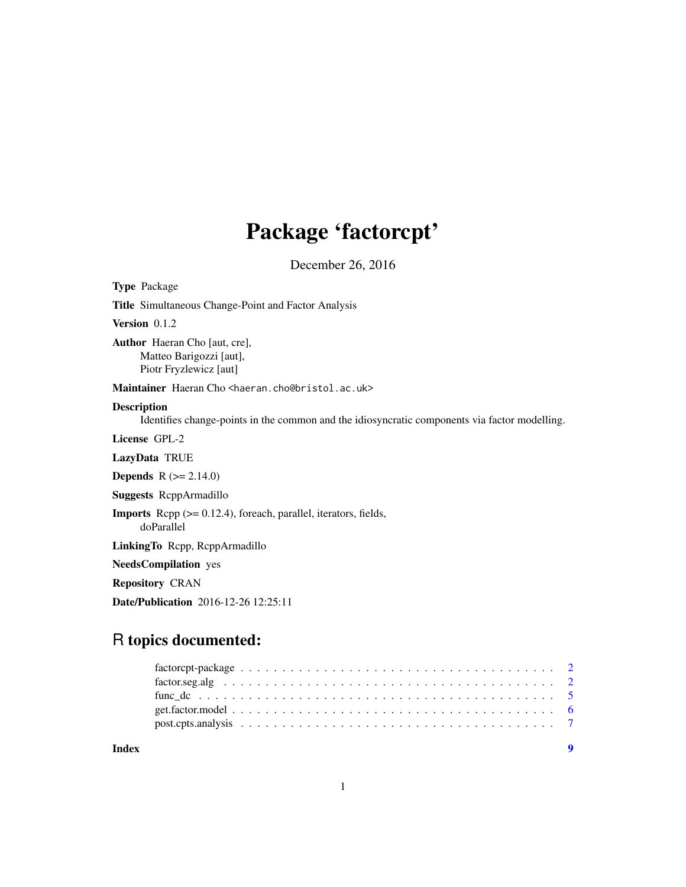# Package 'factorcpt'

December 26, 2016

<span id="page-0-0"></span>

| <b>Type Package</b>                                                                                                 |
|---------------------------------------------------------------------------------------------------------------------|
| <b>Title</b> Simultaneous Change-Point and Factor Analysis                                                          |
| Version $0.1.2$                                                                                                     |
| <b>Author</b> Haeran Cho [aut, cre],<br>Matteo Barigozzi [aut],<br>Piotr Fryzlewicz [aut]                           |
| Maintainer Haeran Cho <haeran.cho@bristol.ac.uk></haeran.cho@bristol.ac.uk>                                         |
| <b>Description</b><br>Identifies change-points in the common and the idiosyncratic components via factor modelling. |
| License GPL-2                                                                                                       |
| LazyData TRUE                                                                                                       |
| <b>Depends</b> $R (= 2.14.0)$                                                                                       |
| <b>Suggests RcppArmadillo</b>                                                                                       |
| <b>Imports</b> Repp $(>= 0.12.4)$ , foreach, parallel, iterators, fields,<br>doParallel                             |
| LinkingTo Repp, ReppArmadillo                                                                                       |
| <b>NeedsCompilation</b> yes                                                                                         |
| <b>Repository CRAN</b>                                                                                              |
| <b>Date/Publication</b> 2016-12-26 12:25:11                                                                         |

# R topics documented: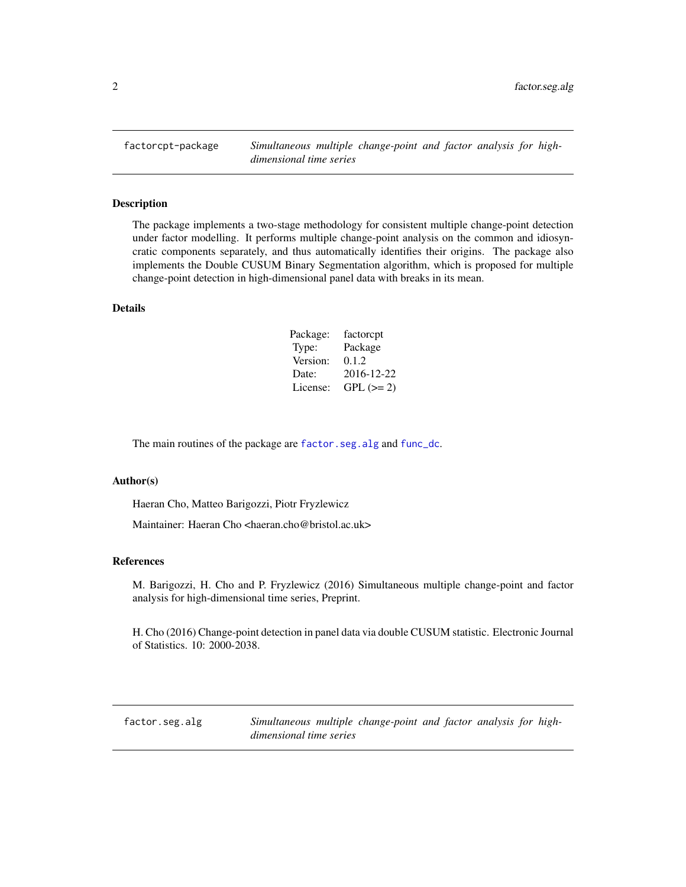<span id="page-1-0"></span>factorcpt-package *Simultaneous multiple change-point and factor analysis for highdimensional time series*

#### Description

The package implements a two-stage methodology for consistent multiple change-point detection under factor modelling. It performs multiple change-point analysis on the common and idiosyncratic components separately, and thus automatically identifies their origins. The package also implements the Double CUSUM Binary Segmentation algorithm, which is proposed for multiple change-point detection in high-dimensional panel data with breaks in its mean.

#### Details

| Package: | factorcpt  |
|----------|------------|
| Type:    | Package    |
| Version: | 0.1.2      |
| Date:    | 2016-12-22 |
| License: | $GPL (=2)$ |

The main routines of the package are [factor.seg.alg](#page-1-1) and [func\\_dc](#page-4-1).

#### Author(s)

Haeran Cho, Matteo Barigozzi, Piotr Fryzlewicz

Maintainer: Haeran Cho <haeran.cho@bristol.ac.uk>

#### References

M. Barigozzi, H. Cho and P. Fryzlewicz (2016) Simultaneous multiple change-point and factor analysis for high-dimensional time series, Preprint.

H. Cho (2016) Change-point detection in panel data via double CUSUM statistic. Electronic Journal of Statistics. 10: 2000-2038.

<span id="page-1-1"></span>factor.seg.alg *Simultaneous multiple change-point and factor analysis for highdimensional time series*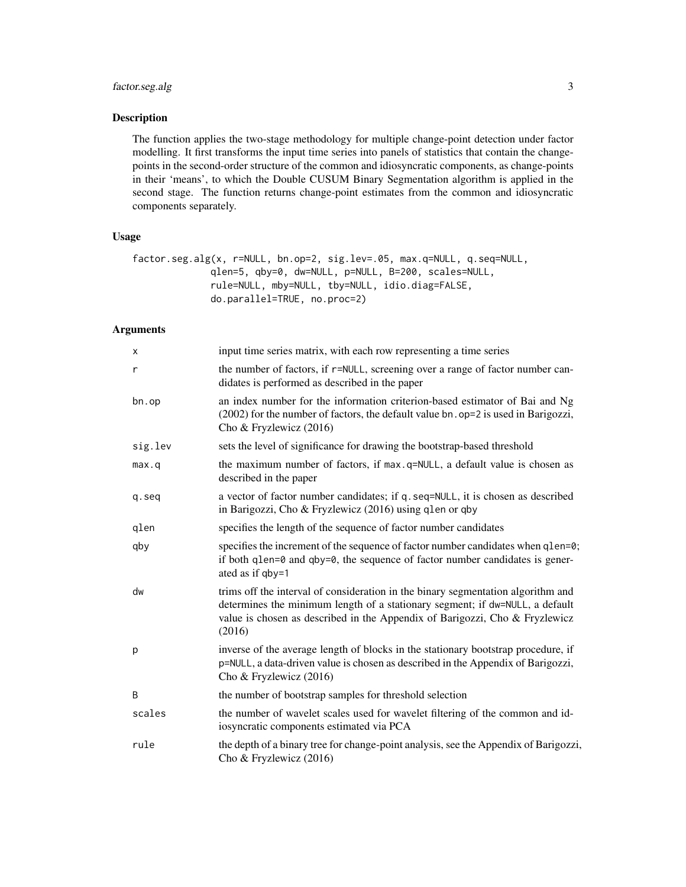# factor.seg.alg 3

#### Description

The function applies the two-stage methodology for multiple change-point detection under factor modelling. It first transforms the input time series into panels of statistics that contain the changepoints in the second-order structure of the common and idiosyncratic components, as change-points in their 'means', to which the Double CUSUM Binary Segmentation algorithm is applied in the second stage. The function returns change-point estimates from the common and idiosyncratic components separately.

#### Usage

```
factor.seg.alg(x, r=NULL, bn.op=2, sig.lev=.05, max.q=NULL, q.seq=NULL,
              qlen=5, qby=0, dw=NULL, p=NULL, B=200, scales=NULL,
              rule=NULL, mby=NULL, tby=NULL, idio.diag=FALSE,
              do.parallel=TRUE, no.proc=2)
```
# Arguments

| X       | input time series matrix, with each row representing a time series                                                                                                                                                                                        |
|---------|-----------------------------------------------------------------------------------------------------------------------------------------------------------------------------------------------------------------------------------------------------------|
| r       | the number of factors, if r=NULL, screening over a range of factor number can-<br>didates is performed as described in the paper                                                                                                                          |
| bn.op   | an index number for the information criterion-based estimator of Bai and Ng<br>(2002) for the number of factors, the default value bn. op=2 is used in Barigozzi,<br>Cho & Fryzlewicz (2016)                                                              |
| sig.lev | sets the level of significance for drawing the bootstrap-based threshold                                                                                                                                                                                  |
| max.q   | the maximum number of factors, if max.q=NULL, a default value is chosen as<br>described in the paper                                                                                                                                                      |
| q.seq   | a vector of factor number candidates; if q. seq=NULL, it is chosen as described<br>in Barigozzi, Cho & Fryzlewicz (2016) using qlen or qby                                                                                                                |
| qlen    | specifies the length of the sequence of factor number candidates                                                                                                                                                                                          |
| qby     | specifies the increment of the sequence of factor number candidates when q1en=0;<br>if both $qlen=0$ and $qby=0$ , the sequence of factor number candidates is gener-<br>ated as if qby=1                                                                 |
| dw      | trims off the interval of consideration in the binary segmentation algorithm and<br>determines the minimum length of a stationary segment; if dw=NULL, a default<br>value is chosen as described in the Appendix of Barigozzi, Cho & Fryzlewicz<br>(2016) |
| p       | inverse of the average length of blocks in the stationary bootstrap procedure, if<br>p=NULL, a data-driven value is chosen as described in the Appendix of Barigozzi,<br>Cho & Fryzlewicz (2016)                                                          |
| B       | the number of bootstrap samples for threshold selection                                                                                                                                                                                                   |
| scales  | the number of wavelet scales used for wavelet filtering of the common and id-<br>iosyncratic components estimated via PCA                                                                                                                                 |
| rule    | the depth of a binary tree for change-point analysis, see the Appendix of Barigozzi,<br>Cho & Fryzlewicz (2016)                                                                                                                                           |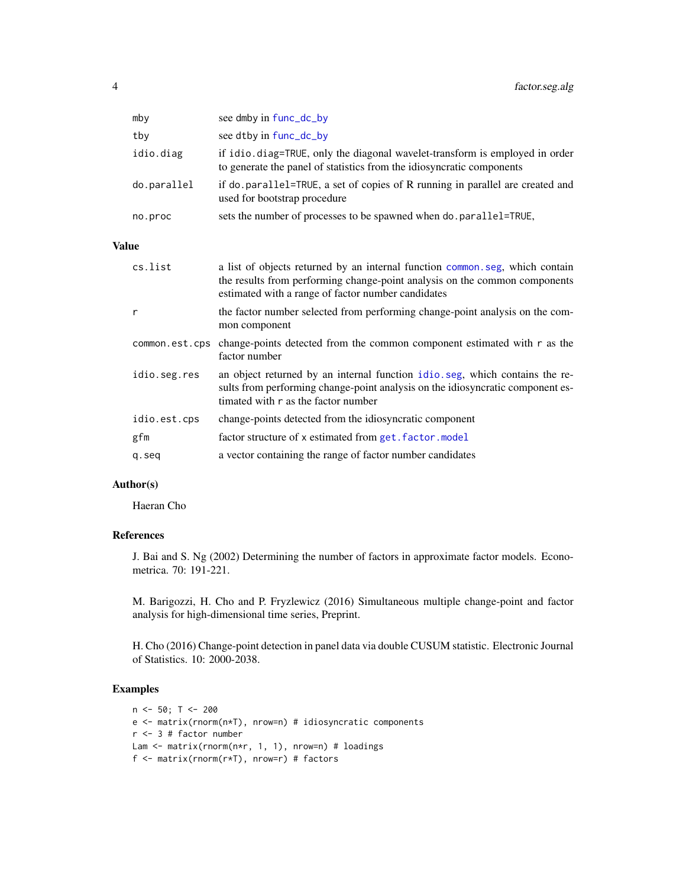<span id="page-3-0"></span>

| mby         | see dmby in func_dc_by                                                                                                                                |
|-------------|-------------------------------------------------------------------------------------------------------------------------------------------------------|
| tby         | see dtby in func_dc_by                                                                                                                                |
| idio.diag   | if idio. diag=TRUE, only the diagonal wavelet-transform is employed in order<br>to generate the panel of statistics from the idiosyncratic components |
| do.parallel | if do parallel=TRUE, a set of copies of R running in parallel are created and<br>used for bootstrap procedure                                         |
| no.proc     | sets the number of processes to be spawned when do parallel=TRUE,                                                                                     |

#### Value

| cs.list        | a list of objects returned by an internal function common seg, which contain<br>the results from performing change-point analysis on the common components<br>estimated with a range of factor number candidates |
|----------------|------------------------------------------------------------------------------------------------------------------------------------------------------------------------------------------------------------------|
| r              | the factor number selected from performing change-point analysis on the com-<br>mon component                                                                                                                    |
| common.est.cps | change-points detected from the common component estimated with r as the<br>factor number                                                                                                                        |
| idio.seg.res   | an object returned by an internal function idio.seg, which contains the re-<br>sults from performing change-point analysis on the idiosyncratic component es-<br>timated with r as the factor number             |
| idio.est.cps   | change-points detected from the idiosyncratic component                                                                                                                                                          |
| gfm            | factor structure of x estimated from get. factor.model                                                                                                                                                           |
| q.seq          | a vector containing the range of factor number candidates                                                                                                                                                        |

#### Author(s)

Haeran Cho

# References

J. Bai and S. Ng (2002) Determining the number of factors in approximate factor models. Econometrica. 70: 191-221.

M. Barigozzi, H. Cho and P. Fryzlewicz (2016) Simultaneous multiple change-point and factor analysis for high-dimensional time series, Preprint.

H. Cho (2016) Change-point detection in panel data via double CUSUM statistic. Electronic Journal of Statistics. 10: 2000-2038.

# Examples

```
n < -50; T < -200e <- matrix(rnorm(n*T), nrow=n) # idiosyncratic components
r <- 3 # factor number
Lam <- matrix(rnorm(n*r, 1, 1), nrow=n) # loadings
f <- matrix(rnorm(r*T), nrow=r) # factors
```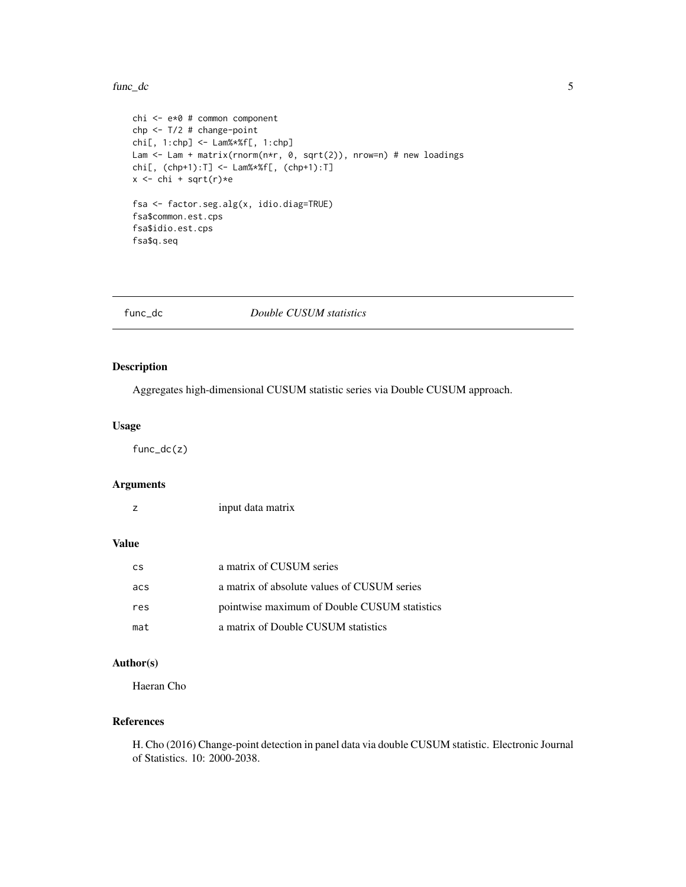#### <span id="page-4-0"></span>func\_dc 5

```
chi <- e*0 # common component
chp <- T/2 # change-point
chi[, 1:chp] <- Lam%*%f[, 1:chp]
Lam <- Lam + matrix(rnorm(n*r, 0, sqrt(2)), nrow=n) # new loadings
chi[, (chp+1):T] <- Lam%*%f[, (chp+1):T]
x \leftarrow chi + sqrt(r)*efsa <- factor.seg.alg(x, idio.diag=TRUE)
fsa$common.est.cps
fsa$idio.est.cps
fsa$q.seq
```
<span id="page-4-1"></span>

func\_dc *Double CUSUM statistics*

# Description

Aggregates high-dimensional CUSUM statistic series via Double CUSUM approach.

#### Usage

func\_dc(z)

#### Arguments

|  | input data matrix |  |
|--|-------------------|--|
|--|-------------------|--|

# Value

| <b>CS</b> | a matrix of CUSUM series                     |
|-----------|----------------------------------------------|
| acs       | a matrix of absolute values of CUSUM series  |
| res       | pointwise maximum of Double CUSUM statistics |
| mat       | a matrix of Double CUSUM statistics          |

# Author(s)

Haeran Cho

#### References

H. Cho (2016) Change-point detection in panel data via double CUSUM statistic. Electronic Journal of Statistics. 10: 2000-2038.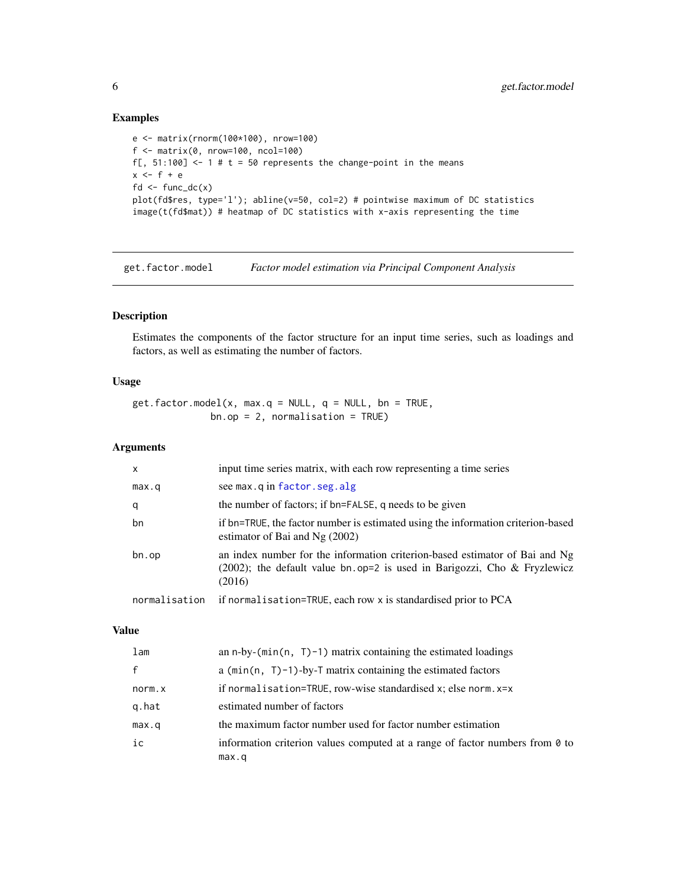# Examples

```
e <- matrix(rnorm(100*100), nrow=100)
f <- matrix(0, nrow=100, ncol=100)
f[, 51:100] <- 1 # t = 50 represents the change-point in the means
x \leq -f + efd <- func_dc(x)plot(fd$res, type='l'); abline(v=50, col=2) # pointwise maximum of DC statistics
image(t(fd$mat)) # heatmap of DC statistics with x-axis representing the time
```
<span id="page-5-1"></span>get.factor.model *Factor model estimation via Principal Component Analysis*

#### Description

Estimates the components of the factor structure for an input time series, such as loadings and factors, as well as estimating the number of factors.

# Usage

 $get.factor.model(x, max.q = NULL, q = NULL, bn = TRUE,$  $bn.op = 2$ , normalisation = TRUE)

# Arguments

| X             | input time series matrix, with each row representing a time series                                                                                                   |
|---------------|----------------------------------------------------------------------------------------------------------------------------------------------------------------------|
| max.q         | see max.q in factor.seg.alg                                                                                                                                          |
| q             | the number of factors; if bn=FALSE, q needs to be given                                                                                                              |
| bn            | if bn=TRUE, the factor number is estimated using the information criterion-based<br>estimator of Bai and Ng $(2002)$                                                 |
| bn.op         | an index number for the information criterion-based estimator of Bai and Ng<br>$(2002)$ ; the default value bn.op=2 is used in Barigozzi, Cho & Fryzlewicz<br>(2016) |
| normalisation | if normalisation=TRUE, each row x is standardised prior to PCA                                                                                                       |

#### Value

| lam          | an n-by-( $min(n, T)$ –1) matrix containing the estimated loadings                    |
|--------------|---------------------------------------------------------------------------------------|
| $\mathsf{f}$ | a ( $min(n, T)-1$ )-by-T matrix containing the estimated factors                      |
| norm.x       | if normalisation=TRUE, row-wise standardised $x$ ; else norm. $x=x$                   |
| g.hat        | estimated number of factors                                                           |
| max.q        | the maximum factor number used for factor number estimation                           |
| ic           | information criterion values computed at a range of factor numbers from 0 to<br>max.q |

<span id="page-5-0"></span>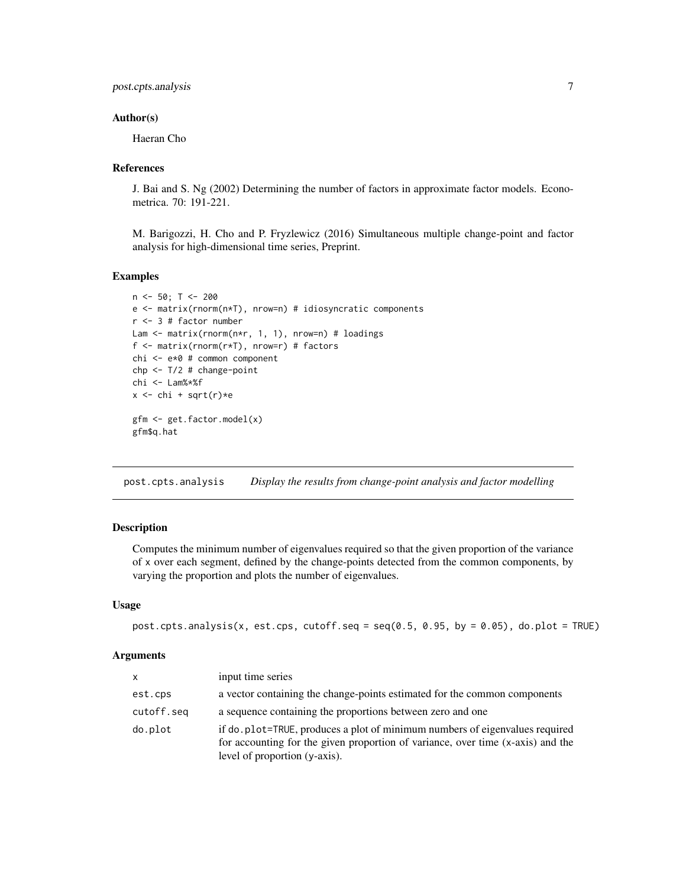# <span id="page-6-0"></span>post.cpts.analysis 7

#### Author(s)

Haeran Cho

#### References

J. Bai and S. Ng (2002) Determining the number of factors in approximate factor models. Econometrica. 70: 191-221.

M. Barigozzi, H. Cho and P. Fryzlewicz (2016) Simultaneous multiple change-point and factor analysis for high-dimensional time series, Preprint.

#### Examples

```
n \leq 50; T \leq -200e <- matrix(rnorm(n*T), nrow=n) # idiosyncratic components
r <- 3 # factor number
Lam <- matrix(rnorm(n*r, 1, 1), nrow=n) # loadings
f <- matrix(rnorm(r*T), nrow=r) # factors
chi <- e*0 # common component
chp <- T/2 # change-point
chi <- Lam%*%f
x \leftarrow chi + sqrt(r)*e
gfm <- get.factor.model(x)
gfm$q.hat
```
post.cpts.analysis *Display the results from change-point analysis and factor modelling*

#### Description

Computes the minimum number of eigenvalues required so that the given proportion of the variance of x over each segment, defined by the change-points detected from the common components, by varying the proportion and plots the number of eigenvalues.

#### Usage

```
post.cpts.analysis(x, est.cps, cutoff.seq = seq(0.5, 0.95, by = 0.05), do.plot = TRUE)
```
#### Arguments

| $\mathsf{x}$ | input time series                                                                                                                                                                               |
|--------------|-------------------------------------------------------------------------------------------------------------------------------------------------------------------------------------------------|
| est.cps      | a vector containing the change-points estimated for the common components                                                                                                                       |
| cutoff.seq   | a sequence containing the proportions between zero and one                                                                                                                                      |
| do.plot      | if do plot=TRUE, produces a plot of minimum numbers of eigenvalues required<br>for accounting for the given proportion of variance, over time (x-axis) and the<br>level of proportion (y-axis). |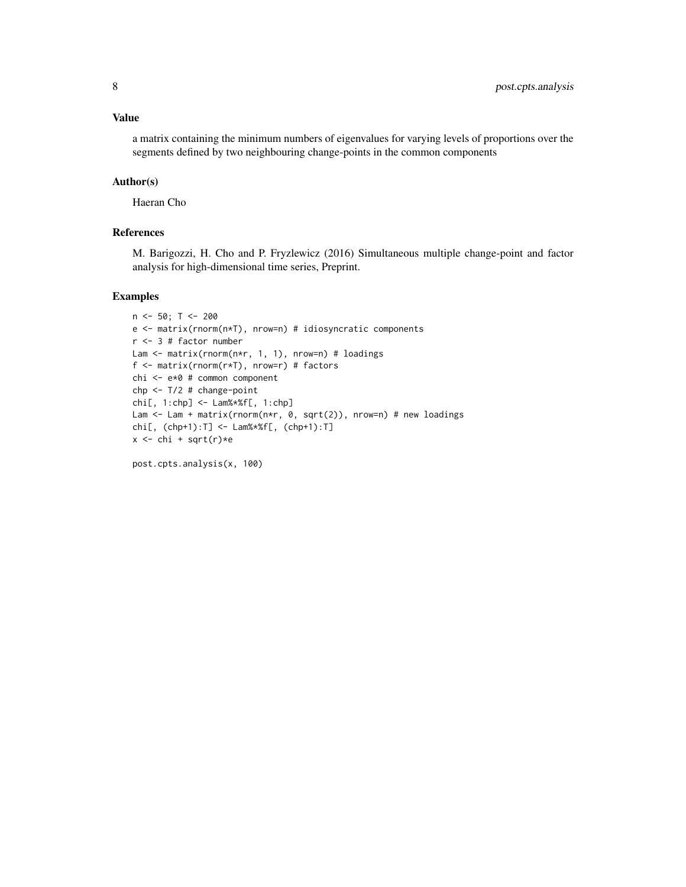#### Value

a matrix containing the minimum numbers of eigenvalues for varying levels of proportions over the segments defined by two neighbouring change-points in the common components

#### Author(s)

Haeran Cho

# References

M. Barigozzi, H. Cho and P. Fryzlewicz (2016) Simultaneous multiple change-point and factor analysis for high-dimensional time series, Preprint.

#### Examples

```
n < -50; T < -200e <- matrix(rnorm(n*T), nrow=n) # idiosyncratic components
r <- 3 # factor number
Lam <- matrix(rnorm(n*r, 1, 1), nrow=n) # loadings
f <- matrix(rnorm(r*T), nrow=r) # factors
chi <- e*0 # common component
chp < -T/2 # change-pointchi[, 1:chp] <- Lam%*%f[, 1:chp]
Lam <- Lam + matrix(rnorm(n*r, 0, sqrt(2)), nrow=n) # new loadings
chi[, (chp+1):T] <- Lam%*%f[, (chp+1):T]
x \leftarrow chi + sqrt(r)*e
```
post.cpts.analysis(x, 100)